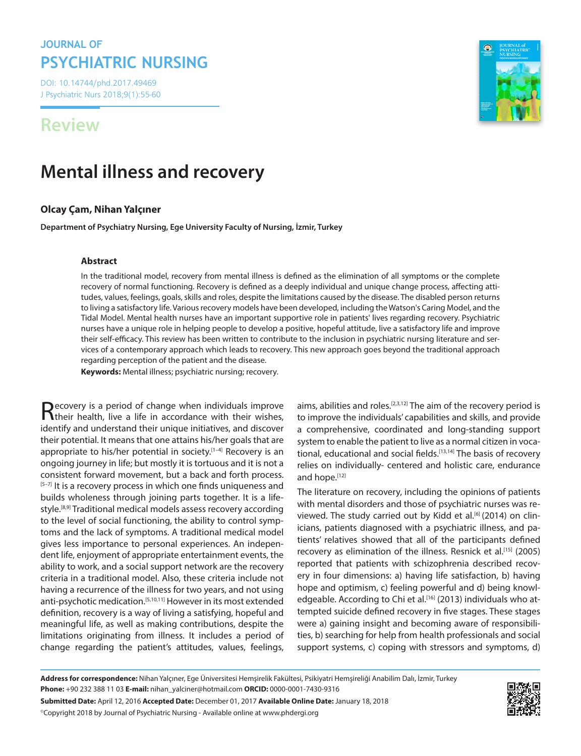## **JOURNAL OF PSYCHIATRIC NURSING**

DOI: 10.14744/phd.2017.49469 J Psychiatric Nurs 2018;9(1):55-60

## **Review**

# **Mental illness and recovery**

## **Olcay Çam, Nihan Yalçıner**

**Department of Psychiatry Nursing, Ege University Faculty of Nursing, İzmir, Turkey**

#### **Abstract**

In the traditional model, recovery from mental illness is defined as the elimination of all symptoms or the complete recovery of normal functioning. Recovery is defined as a deeply individual and unique change process, affecting attitudes, values, feelings, goals, skills and roles, despite the limitations caused by the disease. The disabled person returns to living a satisfactory life. Various recovery models have been developed, including the Watson's Caring Model, and the Tidal Model. Mental health nurses have an important supportive role in patients' lives regarding recovery. Psychiatric nurses have a unique role in helping people to develop a positive, hopeful attitude, live a satisfactory life and improve their self-efficacy. This review has been written to contribute to the inclusion in psychiatric nursing literature and services of a contemporary approach which leads to recovery. This new approach goes beyond the traditional approach regarding perception of the patient and the disease.

**Keywords:** Mental illness; psychiatric nursing; recovery.

Recovery is a period of change when individuals improve their health, live a life in accordance with their wishes, identify and understand their unique initiatives, and discover their potential. It means that one attains his/her goals that are appropriate to his/her potential in society.<sup>[1-4]</sup> Recovery is an ongoing journey in life; but mostly it is tortuous and it is not a consistent forward movement, but a back and forth process.  $[5-7]$  It is a recovery process in which one finds uniqueness and builds wholeness through joining parts together. It is a lifestyle.<sup>[8,9]</sup> Traditional medical models assess recovery according to the level of social functioning, the ability to control symptoms and the lack of symptoms. A traditional medical model gives less importance to personal experiences. An independent life, enjoyment of appropriate entertainment events, the ability to work, and a social support network are the recovery criteria in a traditional model. Also, these criteria include not having a recurrence of the illness for two years, and not using anti-psychotic medication.<sup>[5,10,11]</sup> However in its most extended definition, recovery is a way of living a satisfying, hopeful and meaningful life, as well as making contributions, despite the limitations originating from illness. It includes a period of change regarding the patient's attitudes, values, feelings,

aims, abilities and roles.<sup>[2,3,12]</sup> The aim of the recovery period is to improve the individuals' capabilities and skills, and provide a comprehensive, coordinated and long-standing support system to enable the patient to live as a normal citizen in vocational, educational and social fields.<sup>[13,14]</sup> The basis of recovery relies on individually- centered and holistic care, endurance and hope.[12]

The literature on recovery, including the opinions of patients with mental disorders and those of psychiatric nurses was reviewed. The study carried out by Kidd et al.<sup>[6]</sup> (2014) on clinicians, patients diagnosed with a psychiatric illness, and patients' relatives showed that all of the participants defined recovery as elimination of the illness. Resnick et al.<sup>[15]</sup> (2005) reported that patients with schizophrenia described recovery in four dimensions: a) having life satisfaction, b) having hope and optimism, c) feeling powerful and d) being knowledgeable. According to Chi et al.<sup>[16]</sup> (2013) individuals who attempted suicide defined recovery in five stages. These stages were a) gaining insight and becoming aware of responsibilities, b) searching for help from health professionals and social support systems, c) coping with stressors and symptoms, d)

**Address for correspondence:** Nihan Yalçıner, Ege Üniversitesi Hemşirelik Fakültesi, Psikiyatri Hemşireliği Anabilim Dalı, İzmir, Turkey **Phone:** +90 232 388 11 03 **E-mail:** nihan\_yalciner@hotmail.com **ORCID:** 0000-0001-7430-9316

**Submitted Date:** April 12, 2016 **Accepted Date:** December 01, 2017 **Available Online Date:** January 18, 2018

©Copyright 2018 by Journal of Psychiatric Nursing - Available online at www.phdergi.org

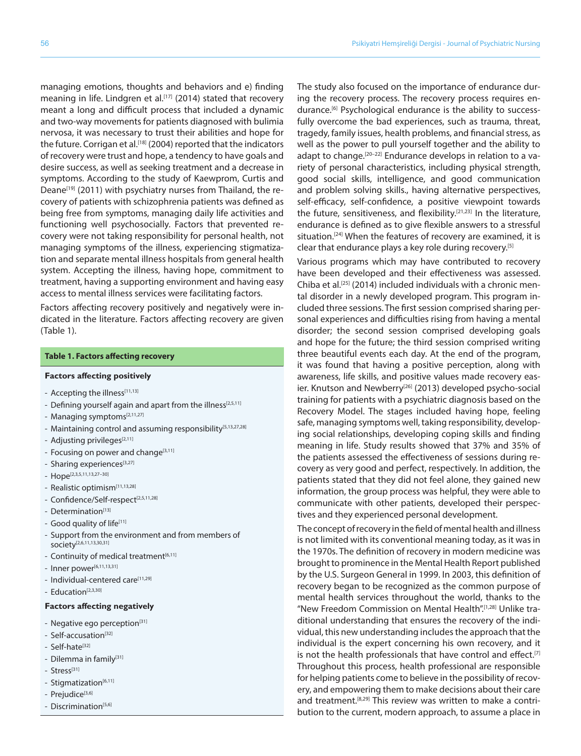managing emotions, thoughts and behaviors and e) finding meaning in life. Lindgren et al.<sup>[17]</sup> (2014) stated that recovery meant a long and difficult process that included a dynamic and two-way movements for patients diagnosed with bulimia nervosa, it was necessary to trust their abilities and hope for the future. Corrigan et al.<sup>[18]</sup> (2004) reported that the indicators of recovery were trust and hope, a tendency to have goals and desire success, as well as seeking treatment and a decrease in symptoms. According to the study of Kaewprom, Curtis and Deane<sup>[19]</sup> (2011) with psychiatry nurses from Thailand, the recovery of patients with schizophrenia patients was defined as being free from symptoms, managing daily life activities and functioning well psychosocially. Factors that prevented recovery were not taking responsibility for personal health, not managing symptoms of the illness, experiencing stigmatization and separate mental illness hospitals from general health system. Accepting the illness, having hope, commitment to treatment, having a supporting environment and having easy access to mental illness services were facilitating factors.

Factors affecting recovery positively and negatively were indicated in the literature. Factors affecting recovery are given (Table 1).

#### **Table 1. Factors affecting recovery**

#### **Factors affecting positively**

- Accepting the illness<sup>[11,13]</sup>
- Defining yourself again and apart from the illness<sup>[2,5,11]</sup>
- Managing symptoms<sup>[2,11,27]</sup>
- Maintaining control and assuming responsibility<sup>[5,13,27,28]</sup>
- Adjusting privileges<sup>[2,11]</sup>
- Focusing on power and change<sup>[3,11]</sup>
- Sharing experiences<sup>[3,27]</sup>
- Hope[2,3,5,11,13,27–30]
- Realistic optimism<sup>[11,13,28]</sup>
- Confidence/Self-respect<sup>[2,5,11,28]</sup>
- Determination<sup>[13]</sup>
- Good quality of life<sup>[11]</sup>
- Support from the environment and from members of society[2,6,11,13,30,31]
- Continuity of medical treatment<sup>[6,11]</sup>
- Inner power[6,11,13,31]
- Individual-centered care<sup>[11,29]</sup>
- Education<sup>[2,3,30]</sup>

#### **Factors affecting negatively**

- Negative ego perception<sup>[31]</sup>
- Self-accusation<sup>[32]</sup>
- Self-hate<sup>[32]</sup>
- Dilemma in family<sup>[31]</sup>
- Stress[31]
- Stigmatization<sup>[6,11]</sup>
- Prejudice<sup>[3,6]</sup>
- Discrimination<sup>[5,6]</sup>

The study also focused on the importance of endurance during the recovery process. The recovery process requires endurance.<sup>[6]</sup> Psychological endurance is the ability to successfully overcome the bad experiences, such as trauma, threat, tragedy, family issues, health problems, and financial stress, as well as the power to pull yourself together and the ability to adapt to change.<sup>[20-22]</sup> Endurance develops in relation to a variety of personal characteristics, including physical strength, good social skills, intelligence, and good communication and problem solving skills., having alternative perspectives, self-efficacy, self-confidence, a positive viewpoint towards the future, sensitiveness, and flexibility.<sup>[21,23]</sup> In the literature, endurance is defined as to give flexible answers to a stressful situation.<sup>[24]</sup> When the features of recovery are examined, it is clear that endurance plays a key role during recovery.<sup>[5]</sup>

Various programs which may have contributed to recovery have been developed and their effectiveness was assessed. Chiba et al.[25] (2014) included individuals with a chronic mental disorder in a newly developed program. This program included three sessions. The first session comprised sharing personal experiences and difficulties rising from having a mental disorder; the second session comprised developing goals and hope for the future; the third session comprised writing three beautiful events each day. At the end of the program, it was found that having a positive perception, along with awareness, life skills, and positive values made recovery easier. Knutson and Newberry<sup>[26]</sup> (2013) developed psycho-social training for patients with a psychiatric diagnosis based on the Recovery Model. The stages included having hope, feeling safe, managing symptoms well, taking responsibility, developing social relationships, developing coping skills and finding meaning in life. Study results showed that 37% and 35% of the patients assessed the effectiveness of sessions during recovery as very good and perfect, respectively. In addition, the patients stated that they did not feel alone, they gained new information, the group process was helpful, they were able to communicate with other patients, developed their perspectives and they experienced personal development.

The concept of recovery in the field of mental health and illness is not limited with its conventional meaning today, as it was in the 1970s. The definition of recovery in modern medicine was brought to prominence in the Mental Health Report published by the U.S. Surgeon General in 1999. In 2003, this definition of recovery began to be recognized as the common purpose of mental health services throughout the world, thanks to the "New Freedom Commission on Mental Health".[1,28] Unlike traditional understanding that ensures the recovery of the individual, this new understanding includes the approach that the individual is the expert concerning his own recovery, and it is not the health professionals that have control and effect.<sup>[7]</sup> Throughout this process, health professional are responsible for helping patients come to believe in the possibility of recovery, and empowering them to make decisions about their care and treatment.<sup>[8,29]</sup> This review was written to make a contribution to the current, modern approach, to assume a place in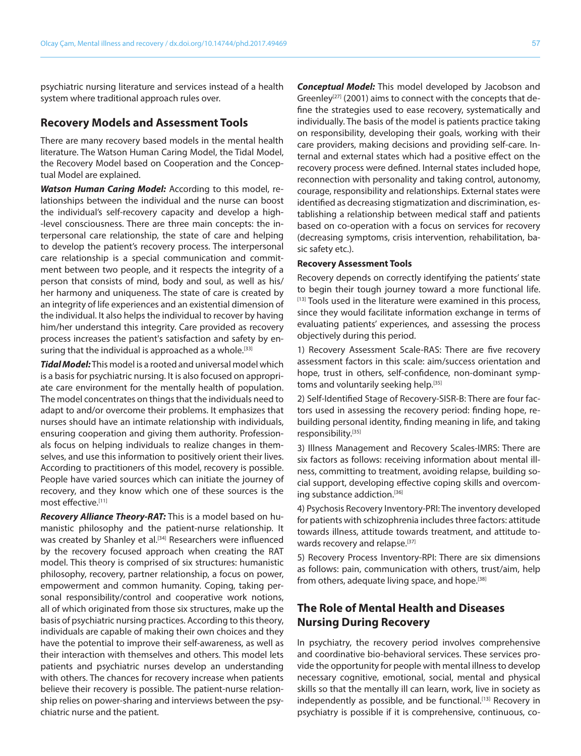psychiatric nursing literature and services instead of a health system where traditional approach rules over.

#### **Recovery Models and Assessment Tools**

There are many recovery based models in the mental health literature. The Watson Human Caring Model, the Tidal Model, the Recovery Model based on Cooperation and the Conceptual Model are explained.

*Watson Human Caring Model:* According to this model, relationships between the individual and the nurse can boost the individual's self-recovery capacity and develop a high- -level consciousness. There are three main concepts: the interpersonal care relationship, the state of care and helping to develop the patient's recovery process. The interpersonal care relationship is a special communication and commitment between two people, and it respects the integrity of a person that consists of mind, body and soul, as well as his/ her harmony and uniqueness. The state of care is created by an integrity of life experiences and an existential dimension of the individual. It also helps the individual to recover by having him/her understand this integrity. Care provided as recovery process increases the patient's satisfaction and safety by ensuring that the individual is approached as a whole.<sup>[33]</sup>

*Tidal Model:* This model is a rooted and universal model which is a basis for psychiatric nursing. It is also focused on appropriate care environment for the mentally health of population. The model concentrates on things that the individuals need to adapt to and/or overcome their problems. It emphasizes that nurses should have an intimate relationship with individuals, ensuring cooperation and giving them authority. Professionals focus on helping individuals to realize changes in themselves, and use this information to positively orient their lives. According to practitioners of this model, recovery is possible. People have varied sources which can initiate the journey of recovery, and they know which one of these sources is the most effective<sup>[11]</sup>

*Recovery Alliance Theory-RAT:* This is a model based on humanistic philosophy and the patient-nurse relationship. It was created by Shanley et al.<sup>[34]</sup> Researchers were influenced by the recovery focused approach when creating the RAT model. This theory is comprised of six structures: humanistic philosophy, recovery, partner relationship, a focus on power, empowerment and common humanity. Coping, taking personal responsibility/control and cooperative work notions, all of which originated from those six structures, make up the basis of psychiatric nursing practices. According to this theory, individuals are capable of making their own choices and they have the potential to improve their self-awareness, as well as their interaction with themselves and others. This model lets patients and psychiatric nurses develop an understanding with others. The chances for recovery increase when patients believe their recovery is possible. The patient-nurse relationship relies on power-sharing and interviews between the psychiatric nurse and the patient.

*Conceptual Model:* This model developed by Jacobson and Greenley<sup>[27]</sup> (2001) aims to connect with the concepts that define the strategies used to ease recovery, systematically and individually. The basis of the model is patients practice taking on responsibility, developing their goals, working with their care providers, making decisions and providing self-care. Internal and external states which had a positive effect on the recovery process were defined. Internal states included hope, reconnection with personality and taking control, autonomy, courage, responsibility and relationships. External states were identified as decreasing stigmatization and discrimination, establishing a relationship between medical staff and patients based on co-operation with a focus on services for recovery (decreasing symptoms, crisis intervention, rehabilitation, basic safety etc.).

#### **Recovery Assessment Tools**

Recovery depends on correctly identifying the patients' state to begin their tough journey toward a more functional life. [13] Tools used in the literature were examined in this process, since they would facilitate information exchange in terms of evaluating patients' experiences, and assessing the process objectively during this period.

1) Recovery Assessment Scale-RAS: There are five recovery assessment factors in this scale: aim/success orientation and hope, trust in others, self-confidence, non-dominant symptoms and voluntarily seeking help.[35]

2) Self-Identified Stage of Recovery-SISR-B: There are four factors used in assessing the recovery period: finding hope, rebuilding personal identity, finding meaning in life, and taking responsibility.[35]

3) Illness Management and Recovery Scales-IMRS: There are six factors as follows: receiving information about mental illness, committing to treatment, avoiding relapse, building social support, developing effective coping skills and overcoming substance addiction.<sup>[36]</sup>

4) Psychosis Recovery Inventory-PRI: The inventory developed for patients with schizophrenia includes three factors: attitude towards illness, attitude towards treatment, and attitude towards recovery and relapse.<sup>[37]</sup>

5) Recovery Process Inventory-RPI: There are six dimensions as follows: pain, communication with others, trust/aim, help from others, adequate living space, and hope.<sup>[38]</sup>

## **The Role of Mental Health and Diseases Nursing During Recovery**

In psychiatry, the recovery period involves comprehensive and coordinative bio-behavioral services. These services provide the opportunity for people with mental illness to develop necessary cognitive, emotional, social, mental and physical skills so that the mentally ill can learn, work, live in society as independently as possible, and be functional.<sup>[13]</sup> Recovery in psychiatry is possible if it is comprehensive, continuous, co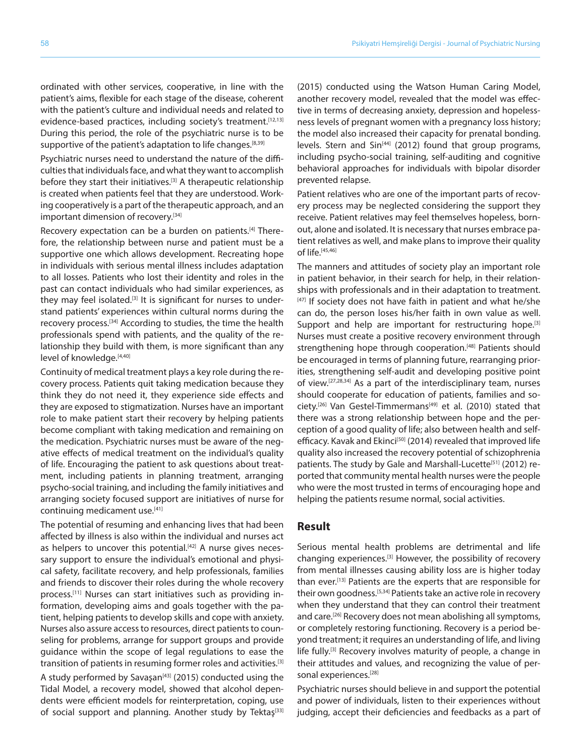ordinated with other services, cooperative, in line with the patient's aims, flexible for each stage of the disease, coherent with the patient's culture and individual needs and related to evidence-based practices, including society's treatment. [12,13] During this period, the role of the psychiatric nurse is to be supportive of the patient's adaptation to life changes.<sup>[8,39]</sup>

Psychiatric nurses need to understand the nature of the difficulties that individuals face, and what they want to accomplish before they start their initiatives.<sup>[3]</sup> A therapeutic relationship is created when patients feel that they are understood. Working cooperatively is a part of the therapeutic approach, and an important dimension of recovery.<sup>[34]</sup>

Recovery expectation can be a burden on patients.<sup>[4]</sup> Therefore, the relationship between nurse and patient must be a supportive one which allows development. Recreating hope in individuals with serious mental illness includes adaptation to all losses. Patients who lost their identity and roles in the past can contact individuals who had similar experiences, as they may feel isolated.<sup>[3]</sup> It is significant for nurses to understand patients' experiences within cultural norms during the recovery process.<sup>[34]</sup> According to studies, the time the health professionals spend with patients, and the quality of the relationship they build with them, is more significant than any level of knowledge.<sup>[4,40]</sup>

Continuity of medical treatment plays a key role during the recovery process. Patients quit taking medication because they think they do not need it, they experience side effects and they are exposed to stigmatization. Nurses have an important role to make patient start their recovery by helping patients become compliant with taking medication and remaining on the medication. Psychiatric nurses must be aware of the negative effects of medical treatment on the individual's quality of life. Encouraging the patient to ask questions about treatment, including patients in planning treatment, arranging psycho-social training, and including the family initiatives and arranging society focused support are initiatives of nurse for continuing medicament use.<sup>[41]</sup>

The potential of resuming and enhancing lives that had been affected by illness is also within the individual and nurses act as helpers to uncover this potential.<sup>[42]</sup> A nurse gives necessary support to ensure the individual's emotional and physical safety, facilitate recovery, and help professionals, families and friends to discover their roles during the whole recovery process.[11] Nurses can start initiatives such as providing information, developing aims and goals together with the patient, helping patients to develop skills and cope with anxiety. Nurses also assure access to resources, direct patients to counseling for problems, arrange for support groups and provide guidance within the scope of legal regulations to ease the transition of patients in resuming former roles and activities.<sup>[3]</sup>

A study performed by Savaşan<sup>[43]</sup> (2015) conducted using the Tidal Model, a recovery model, showed that alcohol dependents were efficient models for reinterpretation, coping, use of social support and planning. Another study by Tektaş<sup>[33]</sup>

(2015) conducted using the Watson Human Caring Model, another recovery model, revealed that the model was effective in terms of decreasing anxiety, depression and hopelessness levels of pregnant women with a pregnancy loss history; the model also increased their capacity for prenatal bonding. levels. Stern and Sin<sup>[44]</sup> (2012) found that group programs, including psycho-social training, self-auditing and cognitive behavioral approaches for individuals with bipolar disorder prevented relapse.

Patient relatives who are one of the important parts of recovery process may be neglected considering the support they receive. Patient relatives may feel themselves hopeless, bornout, alone and isolated. It is necessary that nurses embrace patient relatives as well, and make plans to improve their quality of life.[45,46]

The manners and attitudes of society play an important role in patient behavior, in their search for help, in their relationships with professionals and in their adaptation to treatment.  $[47]$  If society does not have faith in patient and what he/she can do, the person loses his/her faith in own value as well. Support and help are important for restructuring hope.<sup>[3]</sup> Nurses must create a positive recovery environment through strengthening hope through cooperation.<sup>[48]</sup> Patients should be encouraged in terms of planning future, rearranging priorities, strengthening self-audit and developing positive point of view.[27,28,34] As a part of the interdisciplinary team, nurses should cooperate for education of patients, families and society.<sup>[26]</sup> Van Gestel-Timmermans<sup>[49]</sup> et al. (2010) stated that there was a strong relationship between hope and the perception of a good quality of life; also between health and selfefficacy. Kavak and Ekinci<sup>[50]</sup> (2014) revealed that improved life quality also increased the recovery potential of schizophrenia patients. The study by Gale and Marshall-Lucette<sup>[51]</sup> (2012) reported that community mental health nurses were the people who were the most trusted in terms of encouraging hope and helping the patients resume normal, social activities.

## **Result**

Serious mental health problems are detrimental and life changing experiences.[3] However, the possibility of recovery from mental illnesses causing ability loss are is higher today than ever.[13] Patients are the experts that are responsible for their own goodness.[5,34] Patients take an active role in recovery when they understand that they can control their treatment and care.<sup>[26]</sup> Recovery does not mean abolishing all symptoms, or completely restoring functioning. Recovery is a period beyond treatment; it requires an understanding of life, and living life fully.<sup>[3]</sup> Recovery involves maturity of people, a change in their attitudes and values, and recognizing the value of personal experiences.<sup>[28]</sup>

Psychiatric nurses should believe in and support the potential and power of individuals, listen to their experiences without judging, accept their deficiencies and feedbacks as a part of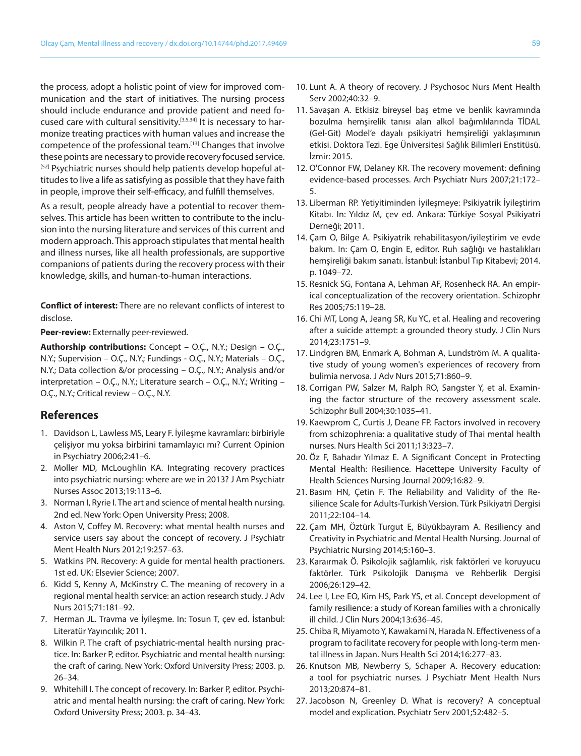the process, adopt a holistic point of view for improved communication and the start of initiatives. The nursing process should include endurance and provide patient and need focused care with cultural sensitivity.<sup>[3,5,34]</sup> It is necessary to harmonize treating practices with human values and increase the competence of the professional team.<sup>[13]</sup> Changes that involve these points are necessary to provide recovery focused service. [52] Psychiatric nurses should help patients develop hopeful attitudes to live a life as satisfying as possible that they have faith in people, improve their self-efficacy, and fulfill themselves.

As a result, people already have a potential to recover themselves. This article has been written to contribute to the inclusion into the nursing literature and services of this current and modern approach. This approach stipulates that mental health and illness nurses, like all health professionals, are supportive companions of patients during the recovery process with their knowledge, skills, and human-to-human interactions.

**Conflict of interest:** There are no relevant conflicts of interest to disclose.

**Peer-review:** Externally peer-reviewed.

**Authorship contributions:** Concept – O.Ç., N.Y.; Design – O.Ç., N.Y.; Supervision – O.Ç., N.Y.; Fundings - O.Ç., N.Y.; Materials – O.Ç., N.Y.; Data collection &/or processing – O.Ç., N.Y.; Analysis and/or interpretation – O.Ç., N.Y.; Literature search – O.Ç., N.Y.; Writing – O.Ç., N.Y.; Critical review – O.Ç., N.Y.

### **References**

- 1. Davidson L, Lawless MS, Leary F. İyileşme kavramları: birbiriyle çelişiyor mu yoksa birbirini tamamlayıcı mı? Current Opinion in Psychiatry 2006;2:41–6.
- 2. Moller MD, McLoughlin KA. Integrating recovery practices into psychiatric nursing: where are we in 2013? J Am Psychiatr Nurses Assoc 2013;19:113–6.
- 3. Norman I, Ryrie I. The art and science of mental health nursing. 2nd ed. New York: Open University Press; 2008.
- 4. Aston V, Coffey M. Recovery: what mental health nurses and service users say about the concept of recovery. J Psychiatr Ment Health Nurs 2012;19:257–63.
- 5. Watkins PN. Recovery: A guide for mental health practioners. 1st ed. UK: Elsevier Science; 2007.
- 6. Kidd S, Kenny A, McKinstry C. The meaning of recovery in a regional mental health service: an action research study. J Adv Nurs 2015;71:181–92.
- 7. Herman JL. Travma ve İyileşme. In: Tosun T, çev ed. İstanbul: Literatür Yayıncılık; 2011.
- 8. Wilkin P. The craft of psychiatric-mental health nursing practice. In: Barker P, editor. Psychiatric and mental health nursing: the craft of caring. New York: Oxford University Press; 2003. p. 26–34.
- 9. Whitehill I. The concept of recovery. In: Barker P, editor. Psychiatric and mental health nursing: the craft of caring. New York: Oxford University Press; 2003. p. 34–43.
- 10. Lunt A. A theory of recovery. J Psychosoc Nurs Ment Health Serv 2002;40:32–9.
- 11. Savaşan A. Etkisiz bireysel baş etme ve benlik kavramında bozulma hemşirelik tanısı alan alkol bağımlılarında TİDAL (Gel-Git) Model'e dayalı psikiyatri hemşireliği yaklaşımının etkisi. Doktora Tezi. Ege Üniversitesi Sağlık Bilimleri Enstitüsü. İzmir: 2015.
- 12. O'Connor FW, Delaney KR. The recovery movement: defining evidence-based processes. Arch Psychiatr Nurs 2007;21:172– 5.
- 13. Liberman RP. Yetiyitiminden İyileşmeye: Psikiyatrik İyileştirim Kitabı. In: Yıldız M, çev ed. Ankara: Türkiye Sosyal Psikiyatri Derneği; 2011.
- 14. Çam O, Bilge A. Psikiyatrik rehabilitasyon/iyileştirim ve evde bakım. In: Çam O, Engin E, editor. Ruh sağlığı ve hastalıkları hemşireliği bakım sanatı. İstanbul: İstanbul Tıp Kitabevi; 2014. p. 1049–72.
- 15. Resnick SG, Fontana A, Lehman AF, Rosenheck RA. An empirical conceptualization of the recovery orientation. Schizophr Res 2005;75:119–28.
- 16. Chi MT, Long A, Jeang SR, Ku YC, et al. Healing and recovering after a suicide attempt: a grounded theory study. J Clin Nurs 2014;23:1751–9.
- 17. Lindgren BM, Enmark A, Bohman A, Lundström M. A qualitative study of young women's experiences of recovery from bulimia nervosa. J Adv Nurs 2015;71:860–9.
- 18. Corrigan PW, Salzer M, Ralph RO, Sangster Y, et al. Examining the factor structure of the recovery assessment scale. Schizophr Bull 2004;30:1035–41.
- 19. Kaewprom C, Curtis J, Deane FP. Factors involved in recovery from schizophrenia: a qualitative study of Thai mental health nurses. Nurs Health Sci 2011;13:323–7.
- 20. Öz F, Bahadır Yılmaz E. A Significant Concept in Protecting Mental Health: Resilience. Hacettepe University Faculty of Health Sciences Nursing Journal 2009;16:82–9.
- 21. Basım HN, Çetin F. The Reliability and Validity of the Resilience Scale for Adults-Turkish Version. Türk Psikiyatri Dergisi 2011;22:104–14.
- 22. Çam MH, Öztürk Turgut E, Büyükbayram A. Resiliency and Creativity in Psychiatric and Mental Health Nursing. Journal of Psychiatric Nursing 2014;5:160–3.
- 23. Karaırmak Ö. Psikolojik sağlamlık, risk faktörleri ve koruyucu faktörler. Türk Psikolojik Danışma ve Rehberlik Dergisi 2006;26:129–42.
- 24. Lee I, Lee EO, Kim HS, Park YS, et al. Concept development of family resilience: a study of Korean families with a chronically ill child. J Clin Nurs 2004;13:636–45.
- 25. Chiba R, Miyamoto Y, Kawakami N, Harada N. Effectiveness of a program to facilitate recovery for people with long-term mental illness in Japan. Nurs Health Sci 2014;16:277–83.
- 26. Knutson MB, Newberry S, Schaper A. Recovery education: a tool for psychiatric nurses. J Psychiatr Ment Health Nurs 2013;20:874–81.
- 27. Jacobson N, Greenley D. What is recovery? A conceptual model and explication. Psychiatr Serv 2001;52:482–5.